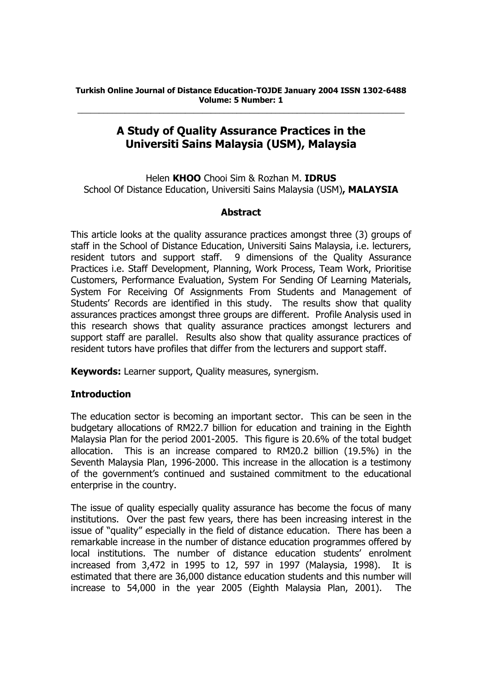# **A Study of Quality Assurance Practices in the Universiti Sains Malaysia (USM), Malaysia**

Helen **KHOO** Chooi Sim & Rozhan M. **IDRUS**  School Of Distance Education, Universiti Sains Malaysia (USM)**, MALAYSIA**

## **Abstract**

This article looks at the quality assurance practices amongst three (3) groups of staff in the School of Distance Education, Universiti Sains Malaysia, i.e. lecturers, resident tutors and support staff. 9 dimensions of the Quality Assurance Practices i.e. Staff Development, Planning, Work Process, Team Work, Prioritise Customers, Performance Evaluation, System For Sending Of Learning Materials, System For Receiving Of Assignments From Students and Management of Students' Records are identified in this study. The results show that quality assurances practices amongst three groups are different. Profile Analysis used in this research shows that quality assurance practices amongst lecturers and support staff are parallel. Results also show that quality assurance practices of resident tutors have profiles that differ from the lecturers and support staff.

**Keywords:** Learner support, Quality measures, synergism.

# **Introduction**

The education sector is becoming an important sector. This can be seen in the budgetary allocations of RM22.7 billion for education and training in the Eighth Malaysia Plan for the period 2001-2005. This figure is 20.6% of the total budget allocation. This is an increase compared to RM20.2 billion (19.5%) in the Seventh Malaysia Plan, 1996-2000. This increase in the allocation is a testimony of the government's continued and sustained commitment to the educational enterprise in the country.

The issue of quality especially quality assurance has become the focus of many institutions. Over the past few years, there has been increasing interest in the issue of "quality" especially in the field of distance education. There has been a remarkable increase in the number of distance education programmes offered by local institutions. The number of distance education students' enrolment increased from 3,472 in 1995 to 12, 597 in 1997 (Malaysia, 1998). It is estimated that there are 36,000 distance education students and this number will increase to 54,000 in the year 2005 (Eighth Malaysia Plan, 2001). The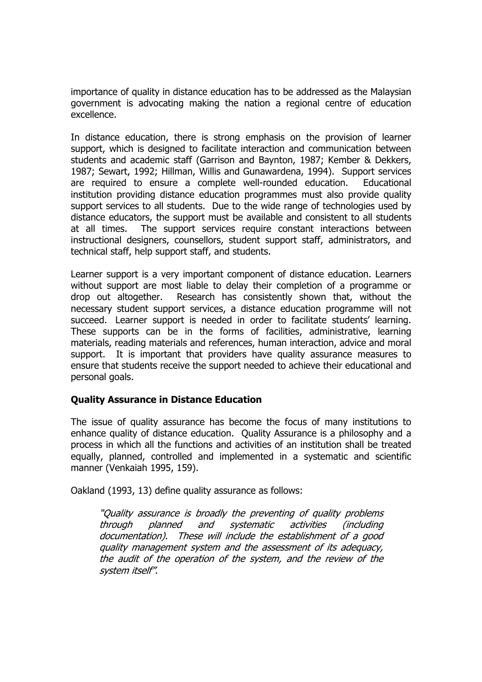importance of quality in distance education has to be addressed as the Malaysian government is advocating making the nation a regional centre of education excellence.

In distance education, there is strong emphasis on the provision of learner support, which is designed to facilitate interaction and communication between students and academic staff (Garrison and Baynton, 1987; Kember & Dekkers, 1987; Sewart, 1992; Hillman, Willis and Gunawardena, 1994). Support services are required to ensure a complete well-rounded education. Educational institution providing distance education programmes must also provide quality support services to all students. Due to the wide range of technologies used by distance educators, the support must be available and consistent to all students at all times. The support services require constant interactions between instructional designers, counsellors, student support staff, administrators, and technical staff, help support staff, and students.

Learner support is a very important component of distance education. Learners without support are most liable to delay their completion of a programme or drop out altogether. Research has consistently shown that, without the necessary student support services, a distance education programme will not succeed. Learner support is needed in order to facilitate students' learning. These supports can be in the forms of facilities, administrative, learning materials, reading materials and references, human interaction, advice and moral support. It is important that providers have quality assurance measures to ensure that students receive the support needed to achieve their educational and personal goals.

# **Quality Assurance in Distance Education**

The issue of quality assurance has become the focus of many institutions to enhance quality of distance education. Quality Assurance is a philosophy and a process in which all the functions and activities of an institution shall be treated equally, planned, controlled and implemented in a systematic and scientific manner (Venkaiah 1995, 159).

Oakland (1993, 13) define quality assurance as follows:

"Quality assurance is broadly the preventing of quality problems through planned and systematic activities (including documentation). These will include the establishment of a good quality management system and the assessment of its adequacy, the audit of the operation of the system, and the review of the system itself".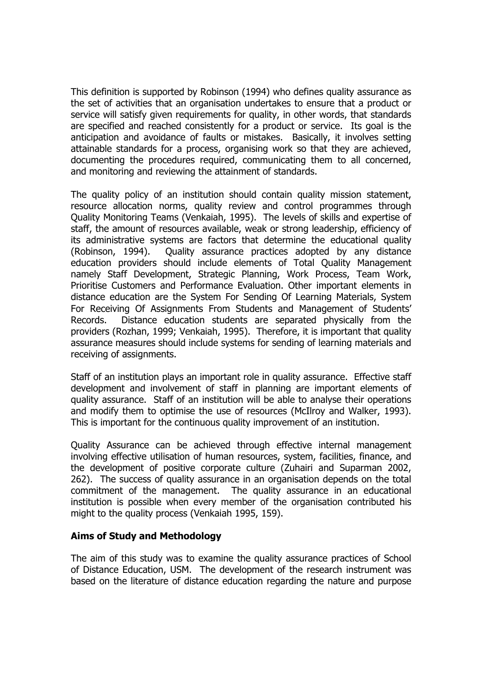This definition is supported by Robinson (1994) who defines quality assurance as the set of activities that an organisation undertakes to ensure that a product or service will satisfy given requirements for quality, in other words, that standards are specified and reached consistently for a product or service. Its goal is the anticipation and avoidance of faults or mistakes. Basically, it involves setting attainable standards for a process, organising work so that they are achieved, documenting the procedures required, communicating them to all concerned, and monitoring and reviewing the attainment of standards.

The quality policy of an institution should contain quality mission statement, resource allocation norms, quality review and control programmes through Quality Monitoring Teams (Venkaiah, 1995). The levels of skills and expertise of staff, the amount of resources available, weak or strong leadership, efficiency of its administrative systems are factors that determine the educational quality (Robinson, 1994). Quality assurance practices adopted by any distance education providers should include elements of Total Quality Management namely Staff Development, Strategic Planning, Work Process, Team Work, Prioritise Customers and Performance Evaluation. Other important elements in distance education are the System For Sending Of Learning Materials, System For Receiving Of Assignments From Students and Management of Students' Records. Distance education students are separated physically from the providers (Rozhan, 1999; Venkaiah, 1995). Therefore, it is important that quality assurance measures should include systems for sending of learning materials and receiving of assignments.

Staff of an institution plays an important role in quality assurance. Effective staff development and involvement of staff in planning are important elements of quality assurance. Staff of an institution will be able to analyse their operations and modify them to optimise the use of resources (McIlroy and Walker, 1993). This is important for the continuous quality improvement of an institution.

Quality Assurance can be achieved through effective internal management involving effective utilisation of human resources, system, facilities, finance, and the development of positive corporate culture (Zuhairi and Suparman 2002, 262). The success of quality assurance in an organisation depends on the total commitment of the management. The quality assurance in an educational institution is possible when every member of the organisation contributed his might to the quality process (Venkaiah 1995, 159).

# **Aims of Study and Methodology**

The aim of this study was to examine the quality assurance practices of School of Distance Education, USM. The development of the research instrument was based on the literature of distance education regarding the nature and purpose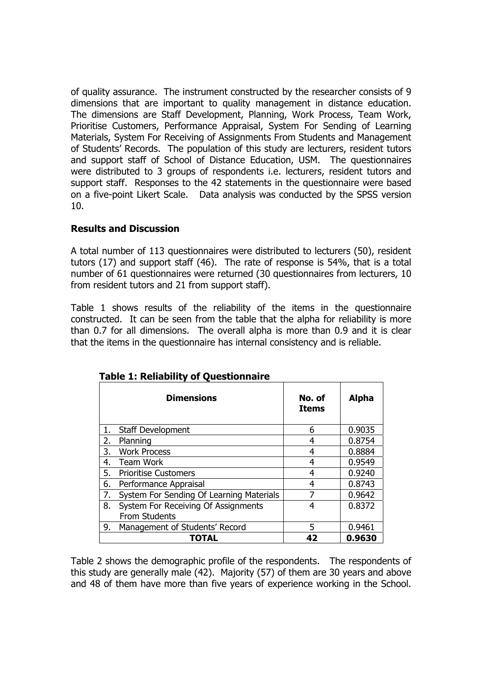of quality assurance. The instrument constructed by the researcher consists of 9 dimensions that are important to quality management in distance education. The dimensions are Staff Development, Planning, Work Process, Team Work, Prioritise Customers, Performance Appraisal, System For Sending of Learning Materials, System For Receiving of Assignments From Students and Management of Students' Records. The population of this study are lecturers, resident tutors and support staff of School of Distance Education, USM. The questionnaires were distributed to 3 groups of respondents i.e. lecturers, resident tutors and support staff. Responses to the 42 statements in the questionnaire were based on a five-point Likert Scale. Data analysis was conducted by the SPSS version 10.

## **Results and Discussion**

A total number of 113 questionnaires were distributed to lecturers (50), resident tutors (17) and support staff (46). The rate of response is 54%, that is a total number of 61 questionnaires were returned (30 questionnaires from lecturers, 10 from resident tutors and 21 from support staff).

Table 1 shows results of the reliability of the items in the questionnaire constructed. It can be seen from the table that the alpha for reliability is more than 0.7 for all dimensions. The overall alpha is more than 0.9 and it is clear that the items in the questionnaire has internal consistency and is reliable.

|    | <b>Dimensions</b>                        | No. of<br><b>Items</b> | <b>Alpha</b> |
|----|------------------------------------------|------------------------|--------------|
| 1. | Staff Development                        | 6                      | 0.9035       |
| 2. | Planning                                 | 4                      | 0.8754       |
| 3. | <b>Work Process</b>                      |                        | 0.8884       |
| 4. | <b>Team Work</b>                         | 4                      | 0.9549       |
| 5. | <b>Prioritise Customers</b>              | 4                      | 0.9240       |
| 6. | Performance Appraisal                    | 4                      | 0.8743       |
| 7. | System For Sending Of Learning Materials | 7                      | 0.9642       |
| 8. | System For Receiving Of Assignments      | 4                      | 0.8372       |
|    | From Students                            |                        |              |
| 9. | Management of Students' Record           | 5                      | 0.9461       |
|    | TOTAL                                    | 42                     | 0.9630       |

|  |  | <b>Table 1: Reliability of Questionnaire</b> |
|--|--|----------------------------------------------|
|  |  |                                              |

Table 2 shows the demographic profile of the respondents. The respondents of this study are generally male (42). Majority (57) of them are 30 years and above and 48 of them have more than five years of experience working in the School.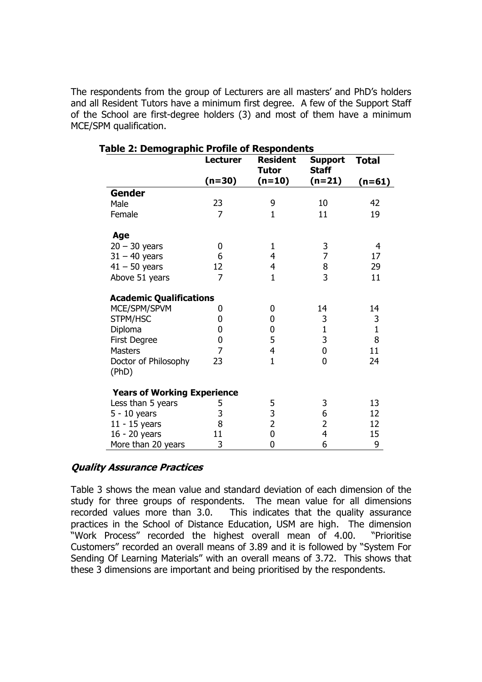The respondents from the group of Lecturers are all masters' and PhD's holders and all Resident Tutors have a minimum first degree. A few of the Support Staff of the School are first-degree holders (3) and most of them have a minimum MCE/SPM qualification.

|                                    | <b>Lecturer</b> | <b>Resident</b><br><b>Tutor</b> | Support<br><b>Staff</b> | <b>Total</b> |
|------------------------------------|-----------------|---------------------------------|-------------------------|--------------|
|                                    | $(n=30)$        | $(n=10)$                        | $(n=21)$                | $(n=61)$     |
| <b>Gender</b>                      |                 |                                 |                         |              |
| Male                               | 23              | 9                               | 10                      | 42           |
| Female                             | 7               | $\mathbf{1}$                    | 11                      | 19           |
| Age                                |                 |                                 |                         |              |
| $20 - 30$ years                    | 0               | 1                               | 3                       | 4            |
| $31 - 40$ years                    | 6               | 4                               | 7                       | 17           |
| $41 - 50$ years                    | 12              | $\overline{\mathbf{4}}$         | 8                       | 29           |
| Above 51 years                     | 7               | $\mathbf{1}$                    | 3                       | 11           |
| <b>Academic Qualifications</b>     |                 |                                 |                         |              |
| MCE/SPM/SPVM                       | 0               | 0                               | 14                      | 14           |
| STPM/HSC                           | 0               | 0                               | 3                       | 3            |
| Diploma                            | 0               | 0                               | $\mathbf{1}$            | $\mathbf{1}$ |
| First Degree                       | 0               | 5                               | 3                       | 8            |
| <b>Masters</b>                     | 7               | $\overline{\mathbf{4}}$         | $\mathbf 0$             | 11           |
| Doctor of Philosophy<br>(PhD)      | 23              | $\mathbf{1}$                    | $\overline{0}$          | 24           |
| <b>Years of Working Experience</b> |                 |                                 |                         |              |
| Less than 5 years                  | 5               | 5                               | 3                       | 13           |
| $5 - 10$ years                     | 3               | $\frac{3}{2}$                   | 6                       | 12           |
| $11 - 15$ years                    | 8               |                                 | $\overline{2}$          | 12           |
| 16 - 20 years                      | 11              | $\pmb{0}$                       | 4                       | 15           |
| More than 20 years                 | 3               | $\mathbf 0$                     | 6                       | 9            |

|--|

#### **Quality Assurance Practices**

Table 3 shows the mean value and standard deviation of each dimension of the study for three groups of respondents. The mean value for all dimensions recorded values more than 3.0. This indicates that the quality assurance practices in the School of Distance Education, USM are high. The dimension "Work Process" recorded the highest overall mean of 4.00. "Prioritise Customers" recorded an overall means of 3.89 and it is followed by "System For Sending Of Learning Materials" with an overall means of 3.72. This shows that these 3 dimensions are important and being prioritised by the respondents.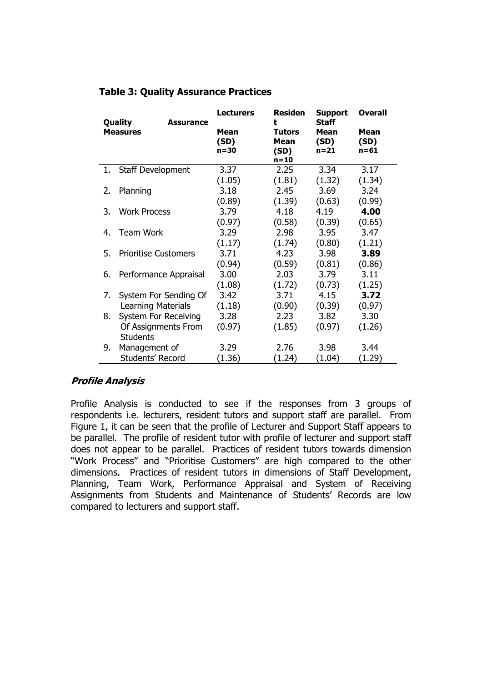| Quality<br><b>Assurance</b><br><b>Measures</b> |                             | <b>Lecturers</b><br>Mean<br>(SD)<br>$n=30$ | <b>Residen</b><br>t<br><b>Tutors</b><br>Mean<br>(SD)<br>$n = 10$ | <b>Support</b><br>Staff<br><b>Mean</b><br>(SD)<br>$n = 21$ | <b>Overall</b><br>Mean<br>(SD)<br>$n = 61$ |
|------------------------------------------------|-----------------------------|--------------------------------------------|------------------------------------------------------------------|------------------------------------------------------------|--------------------------------------------|
|                                                | 1. Staff Development        | 3.37                                       | 2.25                                                             | 3.34                                                       | 3.17                                       |
|                                                |                             | (1.05)                                     | (1.81)                                                           | (1.32)                                                     | (1.34)                                     |
| 2.                                             | Planning                    | 3.18                                       | 2.45                                                             | 3.69                                                       | 3.24                                       |
|                                                |                             | (0.89)                                     | (1.39)                                                           | (0.63)                                                     | (0.99)                                     |
| 3.                                             | <b>Work Process</b>         | 3.79                                       | 4.18                                                             | 4.19                                                       | 4.00                                       |
|                                                |                             | (0.97)                                     | (0.58)                                                           | (0.39)                                                     | (0.65)                                     |
| 4.                                             | <b>Team Work</b>            | 3.29                                       | 2.98                                                             | 3.95                                                       | 3.47                                       |
|                                                |                             | (1.17)                                     | (1.74)                                                           | (0.80)                                                     | (1.21)                                     |
| 5.                                             | <b>Prioritise Customers</b> | 3.71                                       | 4.23                                                             | 3.98                                                       | 3.89                                       |
|                                                |                             | (0.94)                                     | (0.59)                                                           | (0.81)                                                     | (0.86)                                     |
| 6.                                             | Performance Appraisal       | 3.00                                       | 2.03                                                             | 3.79                                                       | 3.11                                       |
|                                                |                             | (1.08)                                     | (1.72)                                                           | (0.73)                                                     | (1.25)                                     |
| 7.                                             | System For Sending Of       | 3.42                                       | 3.71                                                             | 4.15                                                       | 3.72                                       |
|                                                | Learning Materials          | (1.18)                                     | (0.90)                                                           | (0.39)                                                     | (0.97)                                     |
| 8.                                             | <b>System For Receiving</b> | 3.28                                       | 2.23                                                             | 3.82                                                       | 3.30                                       |
|                                                | Of Assignments From         | (0.97)                                     | (1.85)                                                           | (0.97)                                                     | (1.26)                                     |
|                                                | <b>Students</b>             |                                            |                                                                  |                                                            |                                            |
| 9.                                             | Management of               | 3.29                                       | 2.76                                                             | 3.98                                                       | 3.44                                       |
|                                                | Students' Record            | (1.36)                                     | (1.24)                                                           | (1.04)                                                     | (1.29)                                     |

## **Table 3: Quality Assurance Practices**

#### **Profile Analysis**

Profile Analysis is conducted to see if the responses from 3 groups of respondents i.e. lecturers, resident tutors and support staff are parallel. From Figure 1, it can be seen that the profile of Lecturer and Support Staff appears to be parallel. The profile of resident tutor with profile of lecturer and support staff does not appear to be parallel. Practices of resident tutors towards dimension "Work Process" and "Prioritise Customers" are high compared to the other dimensions. Practices of resident tutors in dimensions of Staff Development, Planning, Team Work, Performance Appraisal and System of Receiving Assignments from Students and Maintenance of Students' Records are low compared to lecturers and support staff.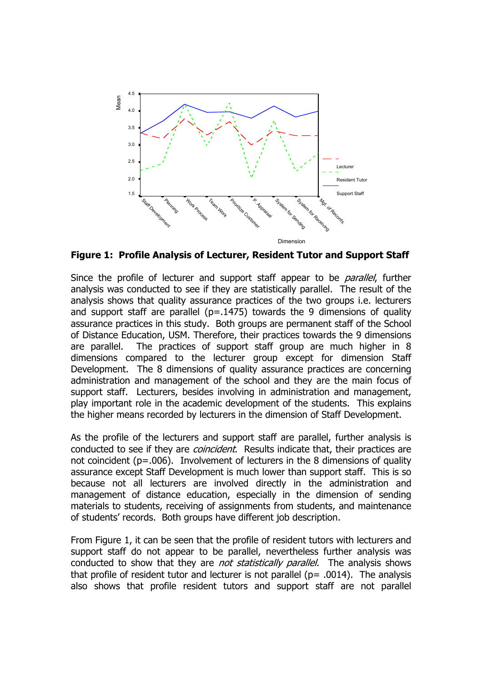

**Figure 1: Profile Analysis of Lecturer, Resident Tutor and Support Staff** 

Since the profile of lecturer and support staff appear to be *parallel*, further analysis was conducted to see if they are statistically parallel. The result of the analysis shows that quality assurance practices of the two groups i.e. lecturers and support staff are parallel ( $p=.1475$ ) towards the 9 dimensions of quality assurance practices in this study. Both groups are permanent staff of the School of Distance Education, USM. Therefore, their practices towards the 9 dimensions are parallel. The practices of support staff group are much higher in 8 dimensions compared to the lecturer group except for dimension Staff Development. The 8 dimensions of quality assurance practices are concerning administration and management of the school and they are the main focus of support staff. Lecturers, besides involving in administration and management, play important role in the academic development of the students. This explains the higher means recorded by lecturers in the dimension of Staff Development.

As the profile of the lecturers and support staff are parallel, further analysis is conducted to see if they are *coincident*. Results indicate that, their practices are not coincident ( $p=.006$ ). Involvement of lecturers in the 8 dimensions of quality assurance except Staff Development is much lower than support staff. This is so because not all lecturers are involved directly in the administration and management of distance education, especially in the dimension of sending materials to students, receiving of assignments from students, and maintenance of students' records. Both groups have different job description.

From Figure 1, it can be seen that the profile of resident tutors with lecturers and support staff do not appear to be parallel, nevertheless further analysis was conducted to show that they are *not statistically parallel*. The analysis shows that profile of resident tutor and lecturer is not parallel ( $p= .0014$ ). The analysis also shows that profile resident tutors and support staff are not parallel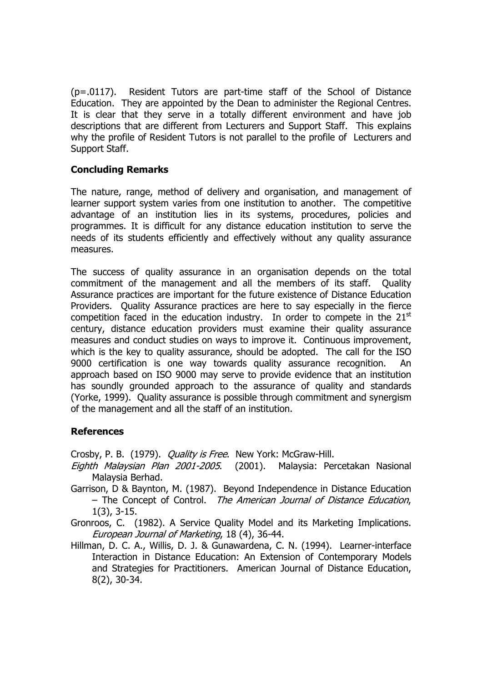(p=.0117). Resident Tutors are part-time staff of the School of Distance Education. They are appointed by the Dean to administer the Regional Centres. It is clear that they serve in a totally different environment and have job descriptions that are different from Lecturers and Support Staff. This explains why the profile of Resident Tutors is not parallel to the profile of Lecturers and Support Staff.

## **Concluding Remarks**

The nature, range, method of delivery and organisation, and management of learner support system varies from one institution to another. The competitive advantage of an institution lies in its systems, procedures, policies and programmes. It is difficult for any distance education institution to serve the needs of its students efficiently and effectively without any quality assurance measures.

The success of quality assurance in an organisation depends on the total commitment of the management and all the members of its staff. Quality Assurance practices are important for the future existence of Distance Education Providers. Quality Assurance practices are here to say especially in the fierce competition faced in the education industry. In order to compete in the  $21<sup>st</sup>$ century, distance education providers must examine their quality assurance measures and conduct studies on ways to improve it. Continuous improvement, which is the key to quality assurance, should be adopted. The call for the ISO 9000 certification is one way towards quality assurance recognition. An approach based on ISO 9000 may serve to provide evidence that an institution has soundly grounded approach to the assurance of quality and standards (Yorke, 1999). Quality assurance is possible through commitment and synergism of the management and all the staff of an institution.

#### **References**

Crosby, P. B. (1979). *Quality is Free*. New York: McGraw-Hill.

- Eighth Malaysian Plan 2001-2005. (2001). Malaysia: Percetakan Nasional Malaysia Berhad.
- Garrison, D & Baynton, M. (1987). Beyond Independence in Distance Education – The Concept of Control. The American Journal of Distance Education, 1(3), 3-15.
- Gronroos, C. (1982). A Service Quality Model and its Marketing Implications. European Journal of Marketing, 18 (4), 36-44.
- Hillman, D. C. A., Willis, D. J. & Gunawardena, C. N. (1994). Learner-interface Interaction in Distance Education: An Extension of Contemporary Models and Strategies for Practitioners. American Journal of Distance Education, 8(2), 30-34.